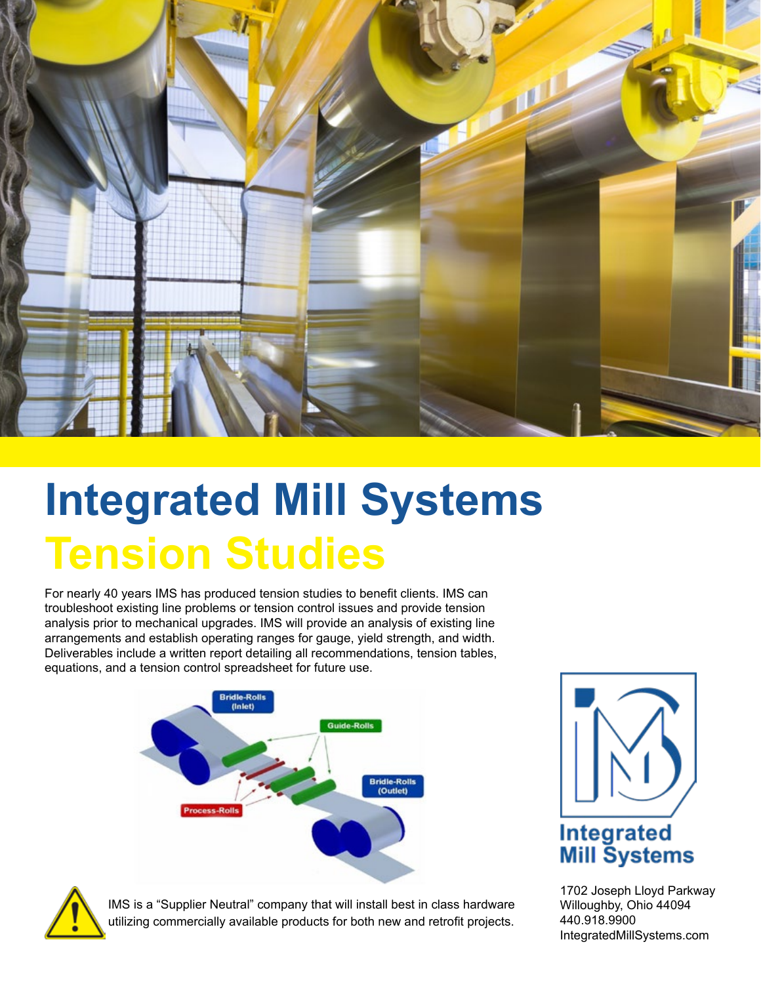

# **Integrated Mill Systems Tension Studies**

For nearly 40 years IMS has produced tension studies to benefit clients. IMS can troubleshoot existing line problems or tension control issues and provide tension analysis prior to mechanical upgrades. IMS will provide an analysis of existing line arrangements and establish operating ranges for gauge, yield strength, and width. Deliverables include a written report detailing all recommendations, tension tables, equations, and a tension control spreadsheet for future use.





1702 Joseph Lloyd Parkway Willoughby, Ohio 44094 440.918.9900 IntegratedMillSystems.com



IMS is a "Supplier Neutral" company that will install best in class hardware utilizing commercially available products for both new and retrofit projects.